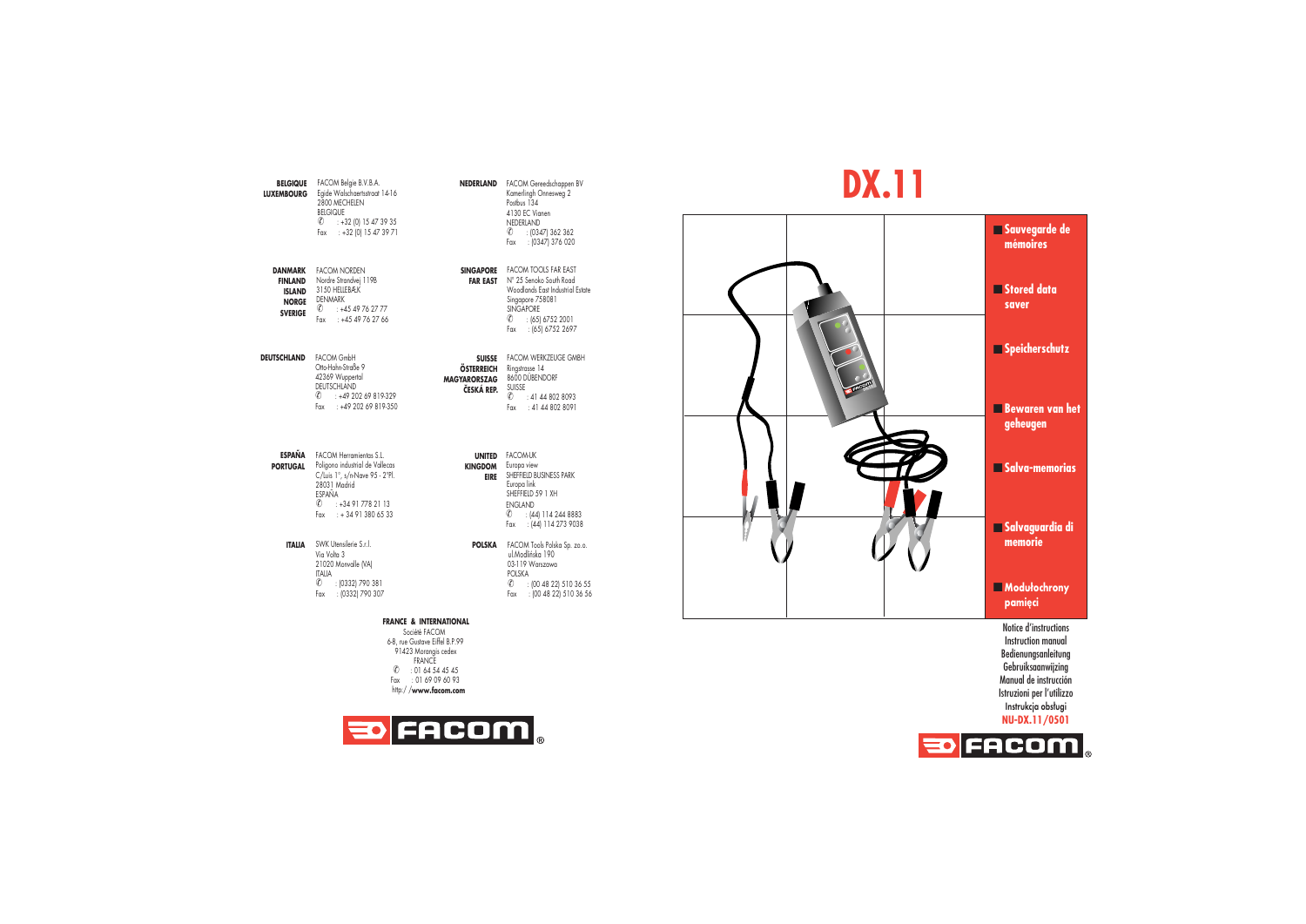

## **NEDERLAND** FACOM Gereedschappen BV Kamerlingh Onnesweg 2 ✆ : (0347) 362 362 Fax : (0347) 376 020

 **FAR EAST** N° 25 Senoko South Road Woodlands East Industrial Estate $\textcircled{c}$  : (65) 6752 2001 Fax : (65) 6752 2697

**SUISSE** FACOM WERKZEUGE GMBH  $\overline{O}$  : 41 44 802 8093 Fax : 41 44 802 8091

 **EIRE**SHEFFIELD BUSINESS PARK ✆ : (44) 114 244 8883 Fax : (44) 114 273 9038

✆ : (00 48 22) 510 36 55 Fax : (00 48 22) 510 36 56

91423 Morangis cedex FRANCE ✆ : 01 64 54 45 45 Fax : 01 69 09 60 93http:/ /**www.facom.com**



## **DX.11**



Notice d'instructions Instruction manualBedienungsanleitung Gebruiksaanwijzing Manual de instrucción Istruzioni per l'utilizzo Instrukcja obsługi **NU-DX.11/0501**